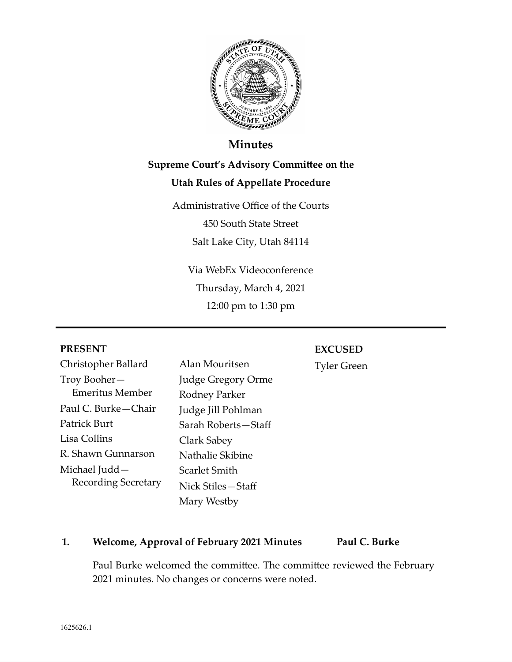

## **Minutes**

# **Supreme Court's Advisory Committee on the Utah Rules of Appellate Procedure**

Administrative Office of the Courts 450 South State Street Salt Lake City, Utah 84114

Via WebEx Videoconference Thursday, March 4, 2021 12:00 pm to 1:30 pm

## **PRESENT**

## **EXCUSED**

Christopher Ballard Troy Booher— Emeritus Member Paul C. Burke—Chair Patrick Burt Lisa Collins R. Shawn Gunnarson Michael Judd— Recording Secretary Alan Mouritsen Judge Gregory Orme Rodney Parker Judge Jill Pohlman Sarah Roberts—Staff Clark Sabey Nathalie Skibine Scarlet Smith Nick Stiles—Staff Mary Westby

Tyler Green

## **1. Welcome, Approval of February 2021 Minutes Paul C. Burke**

Paul Burke welcomed the committee. The committee reviewed the February 2021 minutes. No changes or concerns were noted.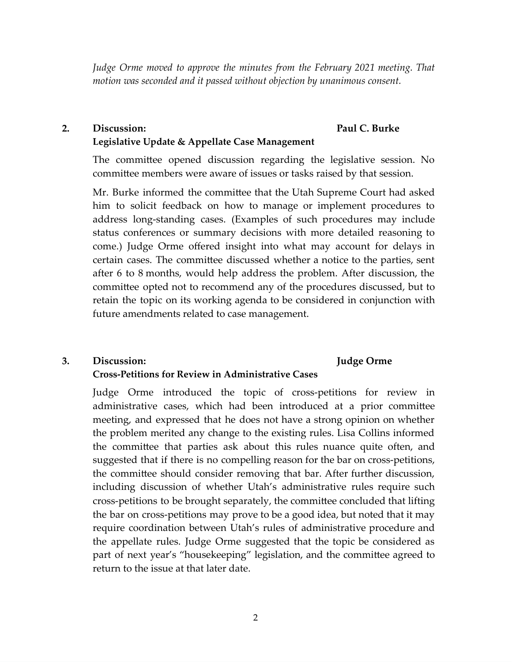*Judge Orme moved to approve the minutes from the February 2021 meeting. That motion was seconded and it passed without objection by unanimous consent.* 

#### **2. Discussion: Legislative Update & Appellate Case Management Paul C. Burke**

The committee opened discussion regarding the legislative session. No committee members were aware of issues or tasks raised by that session.

Mr. Burke informed the committee that the Utah Supreme Court had asked him to solicit feedback on how to manage or implement procedures to address long-standing cases. (Examples of such procedures may include status conferences or summary decisions with more detailed reasoning to come.) Judge Orme offered insight into what may account for delays in certain cases. The committee discussed whether a notice to the parties, sent after 6 to 8 months, would help address the problem. After discussion, the committee opted not to recommend any of the procedures discussed, but to retain the topic on its working agenda to be considered in conjunction with future amendments related to case management.

**Judge Orme** 

#### **3. Discussion: Cross-Petitions for Review in Administrative Cases**

Judge Orme introduced the topic of cross-petitions for review in administrative cases, which had been introduced at a prior committee meeting, and expressed that he does not have a strong opinion on whether the problem merited any change to the existing rules. Lisa Collins informed the committee that parties ask about this rules nuance quite often, and suggested that if there is no compelling reason for the bar on cross-petitions, the committee should consider removing that bar. After further discussion, including discussion of whether Utah's administrative rules require such cross-petitions to be brought separately, the committee concluded that lifting the bar on cross-petitions may prove to be a good idea, but noted that it may require coordination between Utah's rules of administrative procedure and the appellate rules. Judge Orme suggested that the topic be considered as part of next year's "housekeeping" legislation, and the committee agreed to return to the issue at that later date.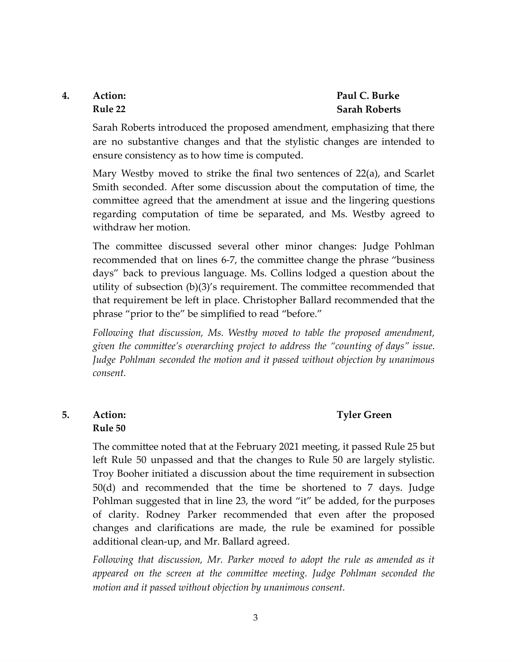## **4. Action: Rule 22**

## **Paul C. Burke Sarah Roberts**

Sarah Roberts introduced the proposed amendment, emphasizing that there are no substantive changes and that the stylistic changes are intended to ensure consistency as to how time is computed.

Mary Westby moved to strike the final two sentences of 22(a), and Scarlet Smith seconded. After some discussion about the computation of time, the committee agreed that the amendment at issue and the lingering questions regarding computation of time be separated, and Ms. Westby agreed to withdraw her motion.

The committee discussed several other minor changes: Judge Pohlman recommended that on lines 6-7, the committee change the phrase "business" days" back to previous language. Ms. Collins lodged a question about the utility of subsection  $(b)(3)'s$  requirement. The committee recommended that that requirement be left in place. Christopher Ballard recommended that the phrase "prior to the" be simplified to read "before."

*Following that discussion, Ms. Westby moved to table the proposed amendment, given the committee's overarching project to address the "counting of days" issue. Judge Pohlman seconded the motion and it passed without objection by unanimous consent.* 

## **Tyler Green**

## **5. Action: Rule 50**

The committee noted that at the February 2021 meeting, it passed Rule 25 but left Rule 50 unpassed and that the changes to Rule 50 are largely stylistic. Troy Booher initiated a discussion about the time requirement in subsection 50(d) and recommended that the time be shortened to 7 days. Judge Pohlman suggested that in line 23, the word "it" be added, for the purposes of clarity. Rodney Parker recommended that even after the proposed changes and clarifications are made, the rule be examined for possible additional clean-up, and Mr. Ballard agreed.

*Following that discussion, Mr. Parker moved to adopt the rule as amended as it*  appeared on the screen at the committee meeting. Judge Pohlman seconded the *motion and it passed without objection by unanimous consent.*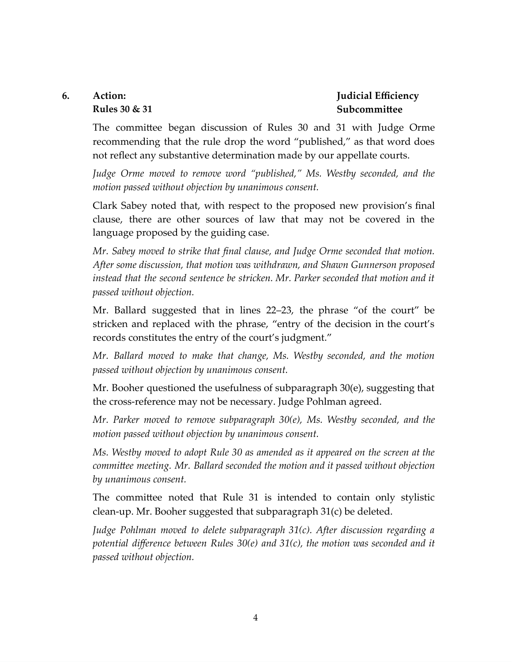#### **6. Action: Rules 30 & 31**

## **Judicial Efficiency Subcommittee**

The committee began discussion of Rules 30 and 31 with Judge Orme recommending that the rule drop the word "published," as that word does not reflect any substantive determination made by our appellate courts.

*Judge Orme moved to remove word "published," Ms. Westby seconded, and the motion passed without objection by unanimous consent.* 

Clark Sabey noted that, with respect to the proposed new provision's final clause, there are other sources of law that may not be covered in the language proposed by the guiding case.

*Mr. Sabey moved to strike that final clause, and Judge Orme seconded that motion. After some discussion, that motion was withdrawn, and Shawn Gunnerson proposed*  instead that the second sentence be stricken. Mr. Parker seconded that motion and it *passed without objection.* 

Mr. Ballard suggested that in lines 22–23, the phrase "of the court" be stricken and replaced with the phrase, "entry of the decision in the court's records constitutes the entry of the court's judgment."

*Mr. Ballard moved to make that change, Ms. Westby seconded, and the motion passed without objection by unanimous consent.* 

Mr. Booher questioned the usefulness of subparagraph 30(e), suggesting that the cross-reference may not be necessary. Judge Pohlman agreed.

*Mr. Parker moved to remove subparagraph 30(e), Ms. Westby seconded, and the motion passed without objection by unanimous consent.* 

*Ms. Westby moved to adopt Rule 30 as amended as it appeared on the screen at the committee meeting. Mr. Ballard seconded the motion and it passed without objection by unanimous consent.* 

The committee noted that Rule 31 is intended to contain only stylistic clean-up. Mr. Booher suggested that subparagraph 31(c) be deleted.

*Judge Pohlman moved to delete subparagraph 31(c). After discussion regarding a potential difference between Rules 30(e) and 31(c), the motion was seconded and it passed without objection.*